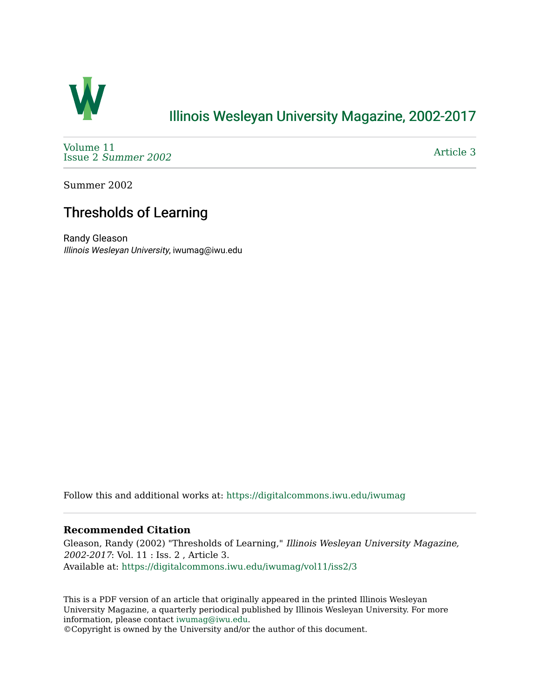

### [Illinois Wesleyan University Magazine, 2002-2017](https://digitalcommons.iwu.edu/iwumag)

[Volume 11](https://digitalcommons.iwu.edu/iwumag/vol11)  Issue 2 [Summer 2002](https://digitalcommons.iwu.edu/iwumag/vol11/iss2) 

[Article 3](https://digitalcommons.iwu.edu/iwumag/vol11/iss2/3) 

Summer 2002

# Thresholds of Learning

Randy Gleason Illinois Wesleyan University, iwumag@iwu.edu

Follow this and additional works at: [https://digitalcommons.iwu.edu/iwumag](https://digitalcommons.iwu.edu/iwumag?utm_source=digitalcommons.iwu.edu%2Fiwumag%2Fvol11%2Fiss2%2F3&utm_medium=PDF&utm_campaign=PDFCoverPages) 

### **Recommended Citation**

Gleason, Randy (2002) "Thresholds of Learning," Illinois Wesleyan University Magazine, 2002-2017: Vol. 11 : Iss. 2 , Article 3. Available at: [https://digitalcommons.iwu.edu/iwumag/vol11/iss2/3](https://digitalcommons.iwu.edu/iwumag/vol11/iss2/3?utm_source=digitalcommons.iwu.edu%2Fiwumag%2Fvol11%2Fiss2%2F3&utm_medium=PDF&utm_campaign=PDFCoverPages)

This is a PDF version of an article that originally appeared in the printed Illinois Wesleyan University Magazine, a quarterly periodical published by Illinois Wesleyan University. For more information, please contact [iwumag@iwu.edu](mailto:iwumag@iwu.edu).

©Copyright is owned by the University and/or the author of this document.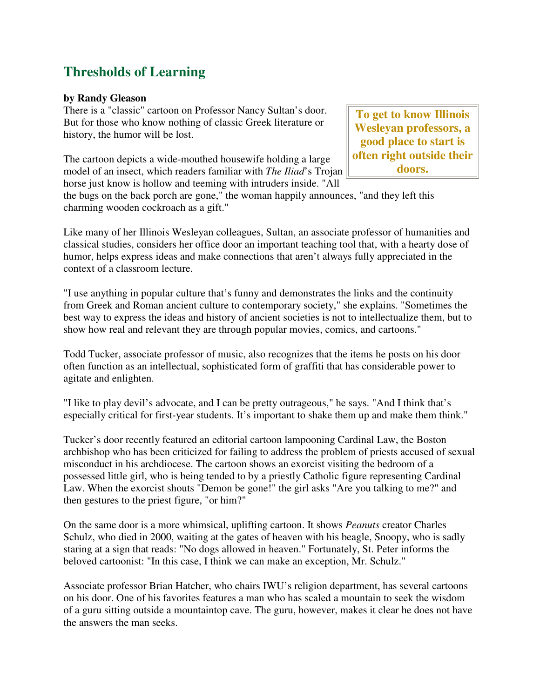# **Thresholds of Learning**

### **by Randy Gleason**

There is a "classic" cartoon on Professor Nancy Sultan's door. But for those who know nothing of classic Greek literature or history, the humor will be lost.

The cartoon depicts a wide-mouthed housewife holding a large model of an insect, which readers familiar with *The Iliad*'s Trojan horse just know is hollow and teeming with intruders inside. "All

**To get to know Illinois Wesleyan professors, a good place to start is often right outside their doors.** 

the bugs on the back porch are gone," the woman happily announces, "and they left this charming wooden cockroach as a gift."

Like many of her Illinois Wesleyan colleagues, Sultan, an associate professor of humanities and classical studies, considers her office door an important teaching tool that, with a hearty dose of humor, helps express ideas and make connections that aren't always fully appreciated in the context of a classroom lecture.

"I use anything in popular culture that's funny and demonstrates the links and the continuity from Greek and Roman ancient culture to contemporary society," she explains. "Sometimes the best way to express the ideas and history of ancient societies is not to intellectualize them, but to show how real and relevant they are through popular movies, comics, and cartoons."

Todd Tucker, associate professor of music, also recognizes that the items he posts on his door often function as an intellectual, sophisticated form of graffiti that has considerable power to agitate and enlighten.

"I like to play devil's advocate, and I can be pretty outrageous," he says. "And I think that's especially critical for first-year students. It's important to shake them up and make them think."

Tucker's door recently featured an editorial cartoon lampooning Cardinal Law, the Boston archbishop who has been criticized for failing to address the problem of priests accused of sexual misconduct in his archdiocese. The cartoon shows an exorcist visiting the bedroom of a possessed little girl, who is being tended to by a priestly Catholic figure representing Cardinal Law. When the exorcist shouts "Demon be gone!" the girl asks "Are you talking to me?" and then gestures to the priest figure, "or him?"

On the same door is a more whimsical, uplifting cartoon. It shows *Peanuts* creator Charles Schulz, who died in 2000, waiting at the gates of heaven with his beagle, Snoopy, who is sadly staring at a sign that reads: "No dogs allowed in heaven." Fortunately, St. Peter informs the beloved cartoonist: "In this case, I think we can make an exception, Mr. Schulz."

Associate professor Brian Hatcher, who chairs IWU's religion department, has several cartoons on his door. One of his favorites features a man who has scaled a mountain to seek the wisdom of a guru sitting outside a mountaintop cave. The guru, however, makes it clear he does not have the answers the man seeks.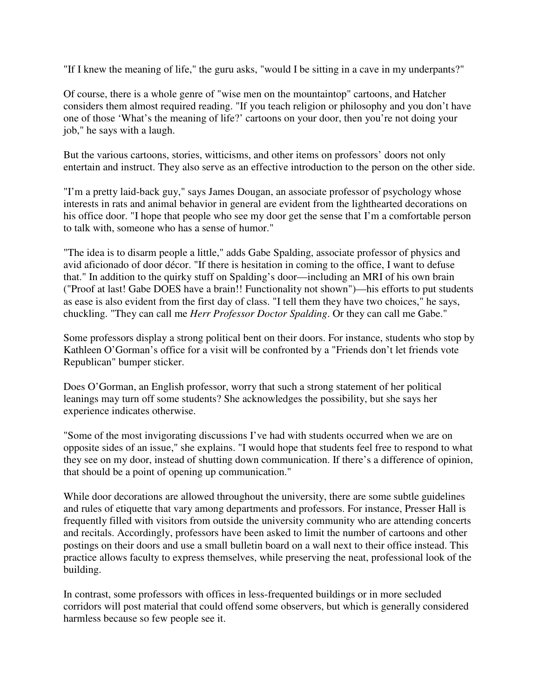"If I knew the meaning of life," the guru asks, "would I be sitting in a cave in my underpants?"

Of course, there is a whole genre of "wise men on the mountaintop" cartoons, and Hatcher considers them almost required reading. "If you teach religion or philosophy and you don't have one of those 'What's the meaning of life?' cartoons on your door, then you're not doing your job," he says with a laugh.

But the various cartoons, stories, witticisms, and other items on professors' doors not only entertain and instruct. They also serve as an effective introduction to the person on the other side.

"I'm a pretty laid-back guy," says James Dougan, an associate professor of psychology whose interests in rats and animal behavior in general are evident from the lighthearted decorations on his office door. "I hope that people who see my door get the sense that I'm a comfortable person to talk with, someone who has a sense of humor."

"The idea is to disarm people a little," adds Gabe Spalding, associate professor of physics and avid aficionado of door décor. "If there is hesitation in coming to the office, I want to defuse that." In addition to the quirky stuff on Spalding's door—including an MRI of his own brain ("Proof at last! Gabe DOES have a brain!! Functionality not shown")—his efforts to put students as ease is also evident from the first day of class. "I tell them they have two choices," he says, chuckling. "They can call me *Herr Professor Doctor Spalding*. Or they can call me Gabe."

Some professors display a strong political bent on their doors. For instance, students who stop by Kathleen O'Gorman's office for a visit will be confronted by a "Friends don't let friends vote Republican" bumper sticker.

Does O'Gorman, an English professor, worry that such a strong statement of her political leanings may turn off some students? She acknowledges the possibility, but she says her experience indicates otherwise.

"Some of the most invigorating discussions I've had with students occurred when we are on opposite sides of an issue," she explains. "I would hope that students feel free to respond to what they see on my door, instead of shutting down communication. If there's a difference of opinion, that should be a point of opening up communication."

While door decorations are allowed throughout the university, there are some subtle guidelines and rules of etiquette that vary among departments and professors. For instance, Presser Hall is frequently filled with visitors from outside the university community who are attending concerts and recitals. Accordingly, professors have been asked to limit the number of cartoons and other postings on their doors and use a small bulletin board on a wall next to their office instead. This practice allows faculty to express themselves, while preserving the neat, professional look of the building.

In contrast, some professors with offices in less-frequented buildings or in more secluded corridors will post material that could offend some observers, but which is generally considered harmless because so few people see it.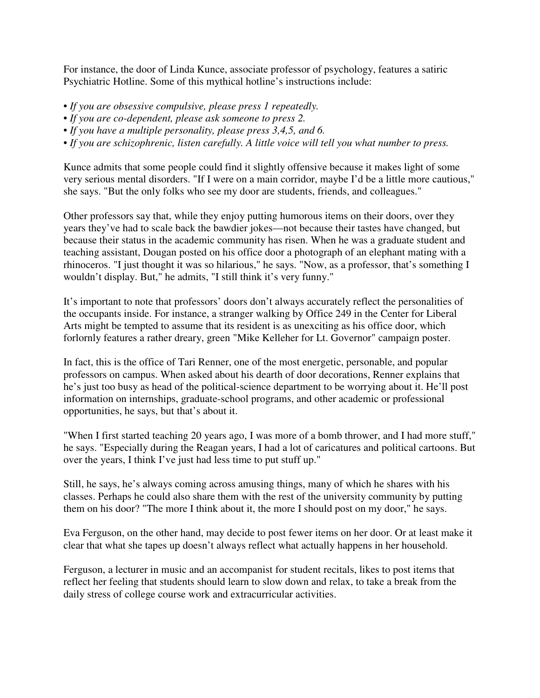For instance, the door of Linda Kunce, associate professor of psychology, features a satiric Psychiatric Hotline. Some of this mythical hotline's instructions include:

*• If you are obsessive compulsive, please press 1 repeatedly.* 

*• If you are co-dependent, please ask someone to press 2.* 

*• If you have a multiple personality, please press 3,4,5, and 6.* 

*• If you are schizophrenic, listen carefully. A little voice will tell you what number to press.*

Kunce admits that some people could find it slightly offensive because it makes light of some very serious mental disorders. "If I were on a main corridor, maybe I'd be a little more cautious," she says. "But the only folks who see my door are students, friends, and colleagues."

Other professors say that, while they enjoy putting humorous items on their doors, over they years they've had to scale back the bawdier jokes—not because their tastes have changed, but because their status in the academic community has risen. When he was a graduate student and teaching assistant, Dougan posted on his office door a photograph of an elephant mating with a rhinoceros. "I just thought it was so hilarious," he says. "Now, as a professor, that's something I wouldn't display. But," he admits, "I still think it's very funny."

It's important to note that professors' doors don't always accurately reflect the personalities of the occupants inside. For instance, a stranger walking by Office 249 in the Center for Liberal Arts might be tempted to assume that its resident is as unexciting as his office door, which forlornly features a rather dreary, green "Mike Kelleher for Lt. Governor" campaign poster.

In fact, this is the office of Tari Renner, one of the most energetic, personable, and popular professors on campus. When asked about his dearth of door decorations, Renner explains that he's just too busy as head of the political-science department to be worrying about it. He'll post information on internships, graduate-school programs, and other academic or professional opportunities, he says, but that's about it.

"When I first started teaching 20 years ago, I was more of a bomb thrower, and I had more stuff," he says. "Especially during the Reagan years, I had a lot of caricatures and political cartoons. But over the years, I think I've just had less time to put stuff up."

Still, he says, he's always coming across amusing things, many of which he shares with his classes. Perhaps he could also share them with the rest of the university community by putting them on his door? "The more I think about it, the more I should post on my door," he says.

Eva Ferguson, on the other hand, may decide to post fewer items on her door. Or at least make it clear that what she tapes up doesn't always reflect what actually happens in her household.

Ferguson, a lecturer in music and an accompanist for student recitals, likes to post items that reflect her feeling that students should learn to slow down and relax, to take a break from the daily stress of college course work and extracurricular activities.